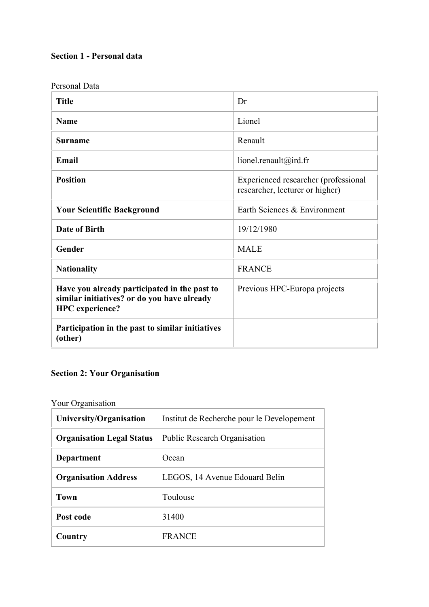# **Section 1 - Personal data**

| Personal Data                                                                                                         |                                                                         |
|-----------------------------------------------------------------------------------------------------------------------|-------------------------------------------------------------------------|
| <b>Title</b>                                                                                                          | Dr                                                                      |
| <b>Name</b>                                                                                                           | Lionel                                                                  |
| <b>Surname</b>                                                                                                        | Renault                                                                 |
| Email                                                                                                                 | lionel.renault@ird.fr                                                   |
| <b>Position</b>                                                                                                       | Experienced researcher (professional<br>researcher, lecturer or higher) |
| <b>Your Scientific Background</b>                                                                                     | Earth Sciences & Environment                                            |
| Date of Birth                                                                                                         | 19/12/1980                                                              |
| Gender                                                                                                                | <b>MALE</b>                                                             |
| <b>Nationality</b>                                                                                                    | <b>FRANCE</b>                                                           |
| Have you already participated in the past to<br>similar initiatives? or do you have already<br><b>HPC</b> experience? | Previous HPC-Europa projects                                            |
| Participation in the past to similar initiatives<br>(other)                                                           |                                                                         |

# **Section 2: Your Organisation**

Your Organisation

| University/Organisation          | Institut de Recherche pour le Developement |
|----------------------------------|--------------------------------------------|
| <b>Organisation Legal Status</b> | <b>Public Research Organisation</b>        |
| <b>Department</b>                | Ocean                                      |
| <b>Organisation Address</b>      | LEGOS, 14 Avenue Edouard Belin             |
| <b>Town</b>                      | Toulouse                                   |
| Post code                        | 31400                                      |
| Country                          | <b>FRANCE</b>                              |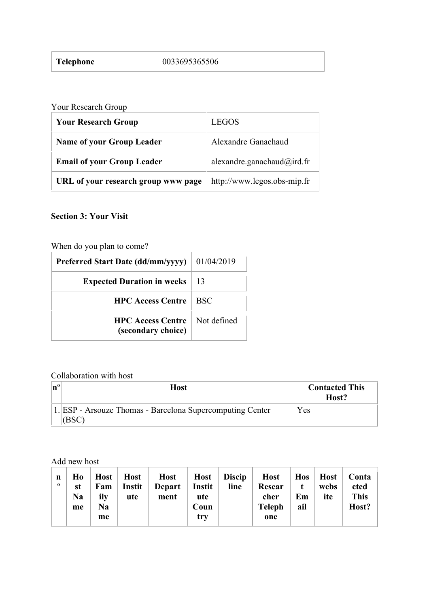| <b>Telephone</b> | 0033695365506 |
|------------------|---------------|
|------------------|---------------|

<u> 1990 - Johann Barn, mars ann an t-Amhain</u>

Your Research Group

| <b>Your Research Group</b>          | LEGOS                       |
|-------------------------------------|-----------------------------|
| <b>Name of your Group Leader</b>    | Alexandre Ganachaud         |
| <b>Email of your Group Leader</b>   | alexandre.ganachaud@ird.fr  |
| URL of your research group www page | http://www.legos.obs-mip.fr |

# **Section 3: Your Visit**

When do you plan to come?

| <b>Preferred Start Date (dd/mm/yyyy)</b>       | 01/04/2019  |
|------------------------------------------------|-------------|
| <b>Expected Duration in weeks</b>              | 13          |
| <b>HPC Access Centre</b>                       | <b>BSC</b>  |
| <b>HPC Access Centre</b><br>(secondary choice) | Not defined |

# Collaboration with host

| Host                                                               | <b>Contacted This</b><br>Host? |
|--------------------------------------------------------------------|--------------------------------|
| 1. ESP - Arsouze Thomas - Barcelona Supercomputing Center<br>(BSC) | Yes                            |

Add new host

| n<br>$\mathbf{o}$ | Ho<br>st<br><b>Na</b><br>me | Host  <br>Fam<br>ily<br>Na<br>me | <b>Host</b><br><b>Instit</b><br>ute | <b>Host</b><br><b>Depart</b><br>ment | <b>Host</b><br>Instit<br>ute<br>Coun<br>try | <b>Discip</b><br>line | <b>Host</b><br>Resear<br>cher<br><b>Teleph</b><br>one | <b>Hos</b><br>Em<br>ail | <b>Host</b><br>webs<br>ite | Conta<br>cted<br><b>This</b><br>Host? |
|-------------------|-----------------------------|----------------------------------|-------------------------------------|--------------------------------------|---------------------------------------------|-----------------------|-------------------------------------------------------|-------------------------|----------------------------|---------------------------------------|
|-------------------|-----------------------------|----------------------------------|-------------------------------------|--------------------------------------|---------------------------------------------|-----------------------|-------------------------------------------------------|-------------------------|----------------------------|---------------------------------------|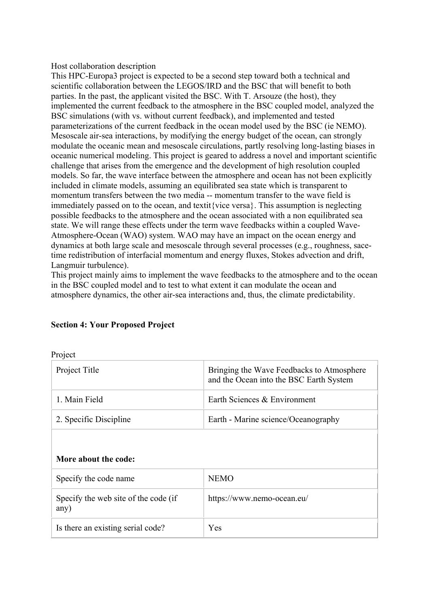#### Host collaboration description

This HPC-Europa3 project is expected to be a second step toward both a technical and scientific collaboration between the LEGOS/IRD and the BSC that will benefit to both parties. In the past, the applicant visited the BSC. With T. Arsouze (the host), they implemented the current feedback to the atmosphere in the BSC coupled model, analyzed the BSC simulations (with vs. without current feedback), and implemented and tested parameterizations of the current feedback in the ocean model used by the BSC (ie NEMO). Mesoscale air-sea interactions, by modifying the energy budget of the ocean, can strongly modulate the oceanic mean and mesoscale circulations, partly resolving long-lasting biases in oceanic numerical modeling. This project is geared to address a novel and important scientific challenge that arises from the emergence and the development of high resolution coupled models. So far, the wave interface between the atmosphere and ocean has not been explicitly included in climate models, assuming an equilibrated sea state which is transparent to momentum transfers between the two media -- momentum transfer to the wave field is immediately passed on to the ocean, and textit{vice versa}. This assumption is neglecting possible feedbacks to the atmosphere and the ocean associated with a non equilibrated sea state. We will range these effects under the term wave feedbacks within a coupled Wave-Atmosphere-Ocean (WAO) system. WAO may have an impact on the ocean energy and dynamics at both large scale and mesoscale through several processes (e.g., roughness, sacetime redistribution of interfacial momentum and energy fluxes, Stokes advection and drift, Langmuir turbulence).

This project mainly aims to implement the wave feedbacks to the atmosphere and to the ocean in the BSC coupled model and to test to what extent it can modulate the ocean and atmosphere dynamics, the other air-sea interactions and, thus, the climate predictability.

| <b>PIOJECU</b>         |                                                                                      |  |
|------------------------|--------------------------------------------------------------------------------------|--|
| Project Title          | Bringing the Wave Feedbacks to Atmosphere<br>and the Ocean into the BSC Earth System |  |
| 1. Main Field          | Earth Sciences & Environment                                                         |  |
| 2. Specific Discipline | Earth - Marine science/Oceanography                                                  |  |

## **Section 4: Your Proposed Project**

#### **More about the code:**

 $\mathbf{D}_{\text{max}}$ 

| Specify the code name                        | <b>NEMO</b>                |
|----------------------------------------------|----------------------------|
| Specify the web site of the code (if<br>any) | https://www.nemo-ocean.eu/ |
| Is there an existing serial code?            | Yes                        |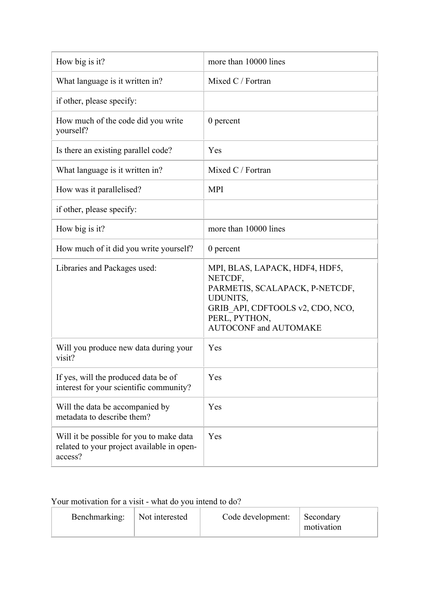| How big is it?                                                                                    | more than 10000 lines                                                                                                                                                               |
|---------------------------------------------------------------------------------------------------|-------------------------------------------------------------------------------------------------------------------------------------------------------------------------------------|
| What language is it written in?                                                                   | Mixed C / Fortran                                                                                                                                                                   |
| if other, please specify:                                                                         |                                                                                                                                                                                     |
| How much of the code did you write<br>yourself?                                                   | $0$ percent                                                                                                                                                                         |
| Is there an existing parallel code?                                                               | Yes                                                                                                                                                                                 |
| What language is it written in?                                                                   | Mixed C / Fortran                                                                                                                                                                   |
| How was it parallelised?                                                                          | <b>MPI</b>                                                                                                                                                                          |
| if other, please specify:                                                                         |                                                                                                                                                                                     |
| How big is it?                                                                                    | more than 10000 lines                                                                                                                                                               |
| How much of it did you write yourself?                                                            | 0 percent                                                                                                                                                                           |
| Libraries and Packages used:                                                                      | MPI, BLAS, LAPACK, HDF4, HDF5,<br>NETCDF,<br>PARMETIS, SCALAPACK, P-NETCDF,<br><b>UDUNITS,</b><br>GRIB API, CDFTOOLS v2, CDO, NCO,<br>PERL, PYTHON,<br><b>AUTOCONF and AUTOMAKE</b> |
| Will you produce new data during your<br>visit?                                                   | Yes                                                                                                                                                                                 |
| If yes, will the produced data be of<br>interest for your scientific community?                   | Yes                                                                                                                                                                                 |
| Will the data be accompanied by<br>metadata to describe them?                                     | Yes                                                                                                                                                                                 |
| Will it be possible for you to make data<br>related to your project available in open-<br>access? | Yes                                                                                                                                                                                 |

# Your motivation for a visit - what do you intend to do?

| Benchmarking:<br>Not interested | Code development: | Secondary<br>motivation |
|---------------------------------|-------------------|-------------------------|
|---------------------------------|-------------------|-------------------------|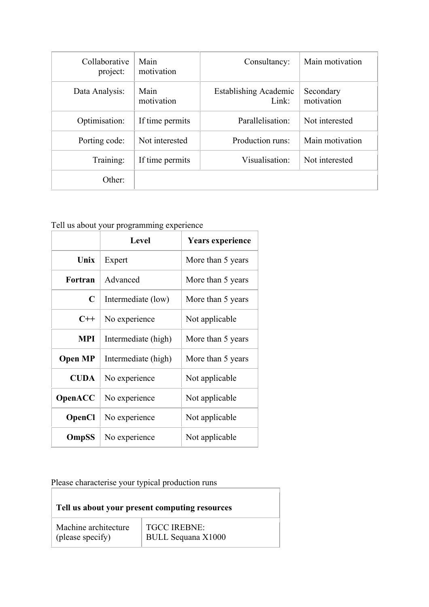| Collaborative<br>project: | Main<br>motivation | Consultancy:                          | Main motivation         |
|---------------------------|--------------------|---------------------------------------|-------------------------|
| Data Analysis:            | Main<br>motivation | <b>Establishing Academic</b><br>Link: | Secondary<br>motivation |
| Optimisation:             | If time permits    | Parallelisation:                      | Not interested          |
| Porting code:             | Not interested     | Production runs:                      | Main motivation         |
| Training:                 | If time permits    | Visualisation:                        | Not interested          |
| Other:                    |                    |                                       |                         |

# Tell us about your programming experience

|                | <b>Level</b>        | <b>Years experience</b> |
|----------------|---------------------|-------------------------|
| Unix           | Expert              | More than 5 years       |
| Fortran        | Advanced            | More than 5 years       |
| C              | Intermediate (low)  | More than 5 years       |
| $C++$          | No experience       | Not applicable          |
| <b>MPI</b>     | Intermediate (high) | More than 5 years       |
| <b>Open MP</b> | Intermediate (high) | More than 5 years       |
| <b>CUDA</b>    | No experience       | Not applicable          |
| OpenACC        | No experience       | Not applicable          |
| <b>OpenCl</b>  | No experience       | Not applicable          |
| OmpSS          | No experience       | Not applicable          |

Please characterise your typical production runs

| Tell us about your present computing resources |                           |
|------------------------------------------------|---------------------------|
| Machine architecture                           | <b>TGCC IREBNE:</b>       |
| (please specify)                               | <b>BULL Sequana X1000</b> |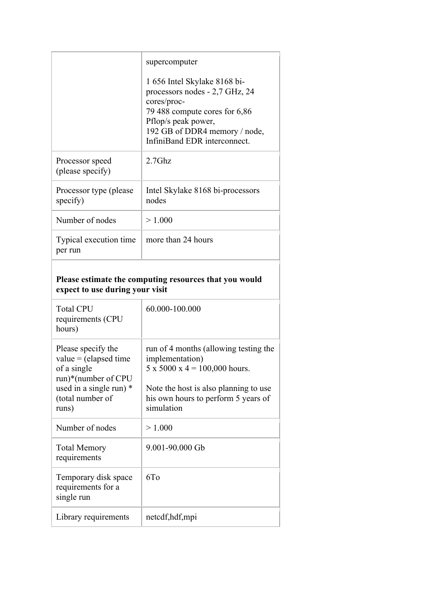|                                                                                                                                             | supercomputer                                                                                                                                                                                          |  |
|---------------------------------------------------------------------------------------------------------------------------------------------|--------------------------------------------------------------------------------------------------------------------------------------------------------------------------------------------------------|--|
|                                                                                                                                             | 1 656 Intel Skylake 8168 bi-<br>processors nodes - 2,7 GHz, 24<br>cores/proc-<br>79 488 compute cores for 6,86<br>Pflop/s peak power,<br>192 GB of DDR4 memory / node,<br>InfiniBand EDR interconnect. |  |
| Processor speed<br>(please specify)                                                                                                         | $2.7$ Ghz                                                                                                                                                                                              |  |
| Processor type (please)<br>specify)                                                                                                         | Intel Skylake 8168 bi-processors<br>nodes                                                                                                                                                              |  |
| Number of nodes                                                                                                                             | > 1.000                                                                                                                                                                                                |  |
| Typical execution time<br>per run                                                                                                           | more than 24 hours                                                                                                                                                                                     |  |
| Please estimate the computing resources that you would<br>expect to use during your visit                                                   |                                                                                                                                                                                                        |  |
|                                                                                                                                             |                                                                                                                                                                                                        |  |
| <b>Total CPU</b><br>requirements (CPU<br>hours)                                                                                             | 60.000-100.000                                                                                                                                                                                         |  |
| Please specify the<br>$value = (elapsed time$<br>of a single<br>run)*(number of CPU<br>used in a single run) *<br>(total number of<br>runs) | run of 4 months (allowing testing the<br>implementation)<br>$5 \times 5000 \times 4 = 100,000$ hours.<br>Note the host is also planning to use<br>his own hours to perform 5 years of<br>simulation    |  |
| Number of nodes                                                                                                                             | > 1.000                                                                                                                                                                                                |  |
| <b>Total Memory</b><br>requirements                                                                                                         | 9.001-90.000 Gb                                                                                                                                                                                        |  |
| Temporary disk space<br>requirements for a<br>single run                                                                                    | 6T <sub>o</sub>                                                                                                                                                                                        |  |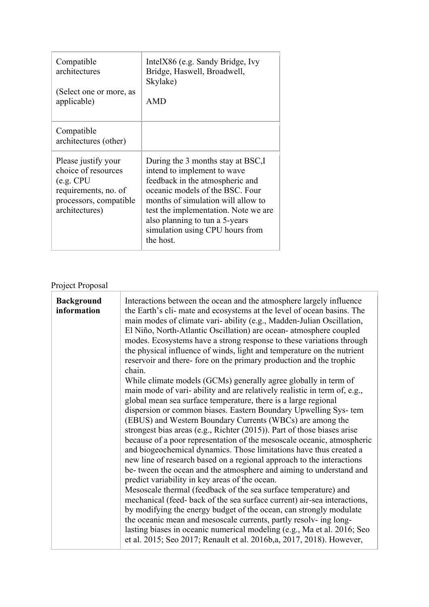| Compatible<br>architectures<br>(Select one or more, as<br>applicable)                                                        | IntelX86 (e.g. Sandy Bridge, Ivy<br>Bridge, Haswell, Broadwell,<br>Skylake)<br><b>AMD</b>                                                                                                                                                                                                               |
|------------------------------------------------------------------------------------------------------------------------------|---------------------------------------------------------------------------------------------------------------------------------------------------------------------------------------------------------------------------------------------------------------------------------------------------------|
| Compatible<br>architectures (other)                                                                                          |                                                                                                                                                                                                                                                                                                         |
| Please justify your<br>choice of resources<br>(e.g. CPU)<br>requirements, no. of<br>processors, compatible<br>architectures) | During the 3 months stay at BSC, I<br>intend to implement to wave<br>feedback in the atmospheric and<br>oceanic models of the BSC. Four<br>months of simulation will allow to<br>test the implementation. Note we are<br>also planning to tun a 5-years<br>simulation using CPU hours from<br>the host. |

# Project Proposal

| <b>Background</b><br>information | Interactions between the ocean and the atmosphere largely influence<br>the Earth's cli- mate and ecosystems at the level of ocean basins. The<br>main modes of climate vari-ability (e.g., Madden-Julian Oscillation,<br>El Niño, North-Atlantic Oscillation) are ocean-atmosphere coupled<br>modes. Ecosystems have a strong response to these variations through<br>the physical influence of winds, light and temperature on the nutrient<br>reservoir and there- fore on the primary production and the trophic<br>chain.<br>While climate models (GCMs) generally agree globally in term of<br>main mode of vari-ability and are relatively realistic in term of, e.g.,                                                                                                                                                                                                                                                                                                                                                                                                |
|----------------------------------|-----------------------------------------------------------------------------------------------------------------------------------------------------------------------------------------------------------------------------------------------------------------------------------------------------------------------------------------------------------------------------------------------------------------------------------------------------------------------------------------------------------------------------------------------------------------------------------------------------------------------------------------------------------------------------------------------------------------------------------------------------------------------------------------------------------------------------------------------------------------------------------------------------------------------------------------------------------------------------------------------------------------------------------------------------------------------------|
|                                  | global mean sea surface temperature, there is a large regional<br>dispersion or common biases. Eastern Boundary Upwelling Sys-tem<br>(EBUS) and Western Boundary Currents (WBCs) are among the<br>strongest bias areas (e.g., Richter $(2015)$ ). Part of those biases arise<br>because of a poor representation of the mesoscale oceanic, atmospheric<br>and biogeochemical dynamics. Those limitations have thus created a<br>new line of research based on a regional approach to the interactions<br>be- tween the ocean and the atmosphere and aiming to understand and<br>predict variability in key areas of the ocean.<br>Mesoscale thermal (feedback of the sea surface temperature) and<br>mechanical (feed-back of the sea surface current) air-sea interactions,<br>by modifying the energy budget of the ocean, can strongly modulate<br>the oceanic mean and mesoscale currents, partly resolv- ing long-<br>lasting biases in oceanic numerical modeling (e.g., Ma et al. 2016; Seo<br>et al. 2015; Seo 2017; Renault et al. 2016b, a, 2017, 2018). However, |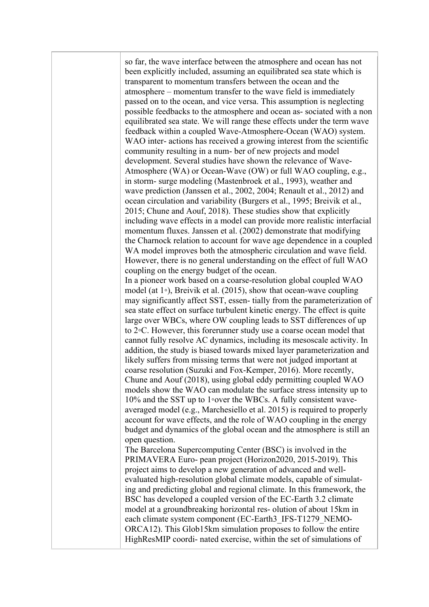so far, the wave interface between the atmosphere and ocean has not been explicitly included, assuming an equilibrated sea state which is transparent to momentum transfers between the ocean and the atmosphere – momentum transfer to the wave field is immediately passed on to the ocean, and vice versa. This assumption is neglecting possible feedbacks to the atmosphere and ocean as- sociated with a non equilibrated sea state. We will range these effects under the term wave feedback within a coupled Wave-Atmosphere-Ocean (WAO) system. WAO inter- actions has received a growing interest from the scientific community resulting in a num- ber of new projects and model development. Several studies have shown the relevance of Wave-Atmosphere (WA) or Ocean-Wave (OW) or full WAO coupling, e.g., in storm- surge modeling (Mastenbroek et al., 1993), weather and wave prediction (Janssen et al., 2002, 2004; Renault et al., 2012) and ocean circulation and variability (Burgers et al., 1995; Breivik et al., 2015; Chune and Aouf, 2018). These studies show that explicitly including wave effects in a model can provide more realistic interfacial momentum fluxes. Janssen et al. (2002) demonstrate that modifying the Charnock relation to account for wave age dependence in a coupled WA model improves both the atmospheric circulation and wave field. However, there is no general understanding on the effect of full WAO coupling on the energy budget of the ocean. In a pioneer work based on a coarse-resolution global coupled WAO model (at 1◦), Breivik et al. (2015), show that ocean-wave coupling may significantly affect SST, essen- tially from the parameterization of sea state effect on surface turbulent kinetic energy. The effect is quite large over WBCs, where OW coupling leads to SST differences of up to 2◦C. However, this forerunner study use a coarse ocean model that cannot fully resolve AC dynamics, including its mesoscale activity. In addition, the study is biased towards mixed layer parameterization and likely suffers from missing terms that were not judged important at coarse resolution (Suzuki and Fox-Kemper, 2016). More recently, Chune and Aouf (2018), using global eddy permitting coupled WAO models show the WAO can modulate the surface stress intensity up to 10% and the SST up to 1◦over the WBCs. A fully consistent waveaveraged model (e.g., Marchesiello et al. 2015) is required to properly account for wave effects, and the role of WAO coupling in the energy budget and dynamics of the global ocean and the atmosphere is still an open question. The Barcelona Supercomputing Center (BSC) is involved in the PRIMAVERA Euro- pean project (Horizon2020, 2015-2019). This project aims to develop a new generation of advanced and wellevaluated high-resolution global climate models, capable of simulating and predicting global and regional climate. In this framework, the BSC has developed a coupled version of the EC-Earth 3.2 climate model at a groundbreaking horizontal res- olution of about 15km in each climate system component (EC-Earth3\_IFS-T1279\_NEMO-ORCA12). This Glob15km simulation proposes to follow the entire HighResMIP coordi- nated exercise, within the set of simulations of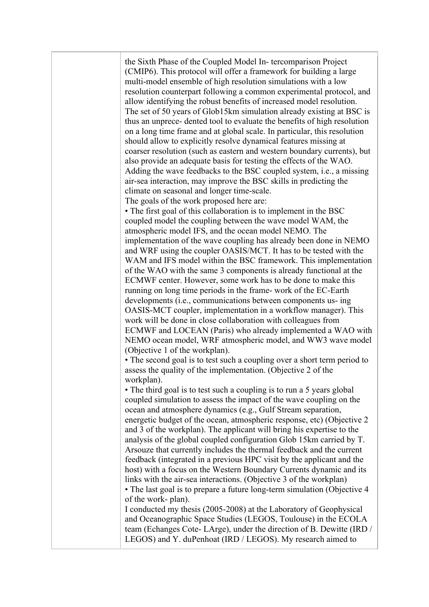| the Sixth Phase of the Coupled Model In-tercomparison Project<br>(CMIP6). This protocol will offer a framework for building a large<br>multi-model ensemble of high resolution simulations with a low<br>resolution counterpart following a common experimental protocol, and<br>allow identifying the robust benefits of increased model resolution.<br>The set of 50 years of Glob15km simulation already existing at BSC is<br>thus an unprece-dented tool to evaluate the benefits of high resolution<br>on a long time frame and at global scale. In particular, this resolution<br>should allow to explicitly resolve dynamical features missing at<br>coarser resolution (such as eastern and western boundary currents), but<br>also provide an adequate basis for testing the effects of the WAO.<br>Adding the wave feedbacks to the BSC coupled system, i.e., a missing<br>air-sea interaction, may improve the BSC skills in predicting the<br>climate on seasonal and longer time-scale.<br>The goals of the work proposed here are:<br>• The first goal of this collaboration is to implement in the BSC<br>coupled model the coupling between the wave model WAM, the<br>atmospheric model IFS, and the ocean model NEMO. The<br>implementation of the wave coupling has already been done in NEMO<br>and WRF using the coupler OASIS/MCT. It has to be tested with the<br>WAM and IFS model within the BSC framework. This implementation<br>of the WAO with the same 3 components is already functional at the<br>ECMWF center. However, some work has to be done to make this<br>running on long time periods in the frame-work of the EC-Earth<br>developments (i.e., communications between components us- ing<br>OASIS-MCT coupler, implementation in a workflow manager). This<br>work will be done in close collaboration with colleagues from<br>ECMWF and LOCEAN (Paris) who already implemented a WAO with<br>NEMO ocean model, WRF atmospheric model, and WW3 wave model<br>(Objective 1 of the workplan).<br>• The second goal is to test such a coupling over a short term period to<br>assess the quality of the implementation. (Objective 2 of the |
|------------------------------------------------------------------------------------------------------------------------------------------------------------------------------------------------------------------------------------------------------------------------------------------------------------------------------------------------------------------------------------------------------------------------------------------------------------------------------------------------------------------------------------------------------------------------------------------------------------------------------------------------------------------------------------------------------------------------------------------------------------------------------------------------------------------------------------------------------------------------------------------------------------------------------------------------------------------------------------------------------------------------------------------------------------------------------------------------------------------------------------------------------------------------------------------------------------------------------------------------------------------------------------------------------------------------------------------------------------------------------------------------------------------------------------------------------------------------------------------------------------------------------------------------------------------------------------------------------------------------------------------------------------------------------------------------------------------------------------------------------------------------------------------------------------------------------------------------------------------------------------------------------------------------------------------------------------------------------------------------------------------------------------------------------------------------------------------------------------------------------------------------------------------------------------|
| workplan).<br>• The third goal is to test such a coupling is to run a 5 years global<br>coupled simulation to assess the impact of the wave coupling on the<br>ocean and atmosphere dynamics (e.g., Gulf Stream separation,<br>energetic budget of the ocean, atmospheric response, etc) (Objective 2<br>and 3 of the workplan). The applicant will bring his expertise to the<br>analysis of the global coupled configuration Glob 15km carried by T.<br>Arsouze that currently includes the thermal feedback and the current<br>feedback (integrated in a previous HPC visit by the applicant and the<br>host) with a focus on the Western Boundary Currents dynamic and its<br>links with the air-sea interactions. (Objective 3 of the workplan)<br>• The last goal is to prepare a future long-term simulation (Objective 4)<br>of the work-plan).<br>I conducted my thesis (2005-2008) at the Laboratory of Geophysical<br>and Oceanographic Space Studies (LEGOS, Toulouse) in the ECOLA<br>team (Echanges Cote-LArge), under the direction of B. Dewitte (IRD /<br>LEGOS) and Y. duPenhoat (IRD / LEGOS). My research aimed to                                                                                                                                                                                                                                                                                                                                                                                                                                                                                                                                                                                                                                                                                                                                                                                                                                                                                                                                                                                                                                             |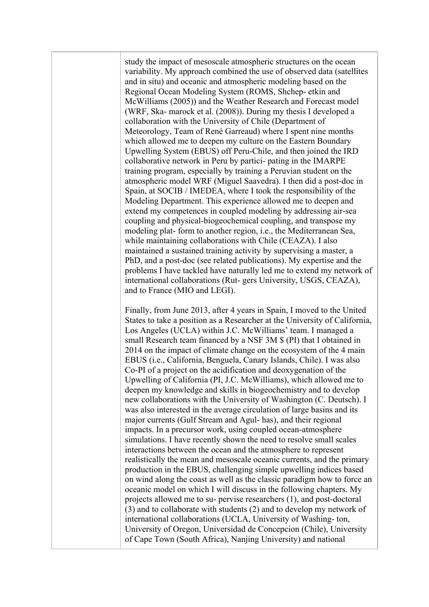study the impact of mesoscale atmospheric structures on the ocean variability. My approach combined the use of observed data (satellites and in situ) and oceanic and atmospheric modeling based on the Regional Ocean Modeling System (ROMS, Shchep- etkin and McWilliams (2005)) and the Weather Research and Forecast model (WRF, Ska- marock et al. (2008)). During my thesis I developed a collaboration with the University of Chile (Department of Meteorology, Team of René Garreaud) where I spent nine months which allowed me to deepen my culture on the Eastern Boundary Upwelling System (EBUS) off Peru-Chile, and then joined the IRD collaborative network in Peru by partici- pating in the IMARPE training program, especially by training a Peruvian student on the atmospheric model WRF (Miguel Saavedra). I then did a post-doc in Spain, at SOCIB / IMEDEA, where I took the responsibility of the Modeling Department. This experience allowed me to deepen and extend my competences in coupled modeling by addressing air-sea coupling and physical-biogeochemical coupling, and transpose my modeling plat- form to another region, i.e., the Mediterranean Sea, while maintaining collaborations with Chile (CEAZA). I also maintained a sustained training activity by supervising a master, a PhD, and a post-doc (see related publications). My expertise and the problems I have tackled have naturally led me to extend my network of international collaborations (Rut- gers University, USGS, CEAZA), and to France (MIO and LEGI).

Finally, from June 2013, after 4 years in Spain, I moved to the United States to take a position as a Researcher at the University of California, Los Angeles (UCLA) within J.C. McWilliams' team. I managed a small Research team financed by a NSF 3M \$ (PI) that I obtained in 2014 on the impact of climate change on the ecosystem of the 4 main EBUS (i.e., California, Benguela, Canary Islands, Chile). I was also Co-PI of a project on the acidification and deoxygenation of the Upwelling of California (PI, J.C. McWilliams), which allowed me to deepen my knowledge and skills in biogeochemistry and to develop new collaborations with the University of Washington (C. Deutsch). I was also interested in the average circulation of large basins and its major currents (Gulf Stream and Agul- has), and their regional impacts. In a precursor work, using coupled ocean-atmosphere simulations. I have recently shown the need to resolve small scales interactions between the ocean and the atmosphere to represent realistically the mean and mesoscale oceanic currents, and the primary production in the EBUS, challenging simple upwelling indices based on wind along the coast as well as the classic paradigm how to force an oceanic model on which I will discuss in the following chapters. My projects allowed me to su- pervise researchers (1), and post-doctoral (3) and to collaborate with students (2) and to develop my network of international collaborations (UCLA, University of Washing- ton, University of Oregon, Universidad de Concepcion (Chile), University of Cape Town (South Africa), Nanjing University) and national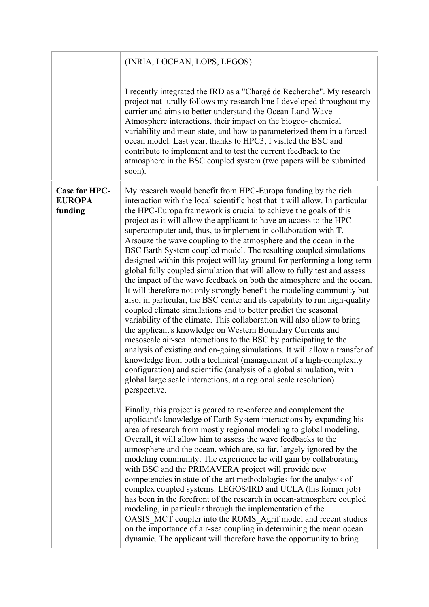|                                                  | (INRIA, LOCEAN, LOPS, LEGOS).                                                                                                                                                                                                                                                                                                                                                                                                                                                                                                                                                                                                                                                                                                                                                                                                                                                                                                                                                                                                                                                                                                                                                                                                                                                                                                                                                                                                                                                             |
|--------------------------------------------------|-------------------------------------------------------------------------------------------------------------------------------------------------------------------------------------------------------------------------------------------------------------------------------------------------------------------------------------------------------------------------------------------------------------------------------------------------------------------------------------------------------------------------------------------------------------------------------------------------------------------------------------------------------------------------------------------------------------------------------------------------------------------------------------------------------------------------------------------------------------------------------------------------------------------------------------------------------------------------------------------------------------------------------------------------------------------------------------------------------------------------------------------------------------------------------------------------------------------------------------------------------------------------------------------------------------------------------------------------------------------------------------------------------------------------------------------------------------------------------------------|
|                                                  | I recently integrated the IRD as a "Chargé de Recherche". My research<br>project nat- urally follows my research line I developed throughout my<br>carrier and aims to better understand the Ocean-Land-Wave-<br>Atmosphere interactions, their impact on the biogeo-chemical<br>variability and mean state, and how to parameterized them in a forced<br>ocean model. Last year, thanks to HPC3, I visited the BSC and<br>contribute to implement and to test the current feedback to the<br>atmosphere in the BSC coupled system (two papers will be submitted<br>soon).                                                                                                                                                                                                                                                                                                                                                                                                                                                                                                                                                                                                                                                                                                                                                                                                                                                                                                                |
| <b>Case for HPC-</b><br><b>EUROPA</b><br>funding | My research would benefit from HPC-Europa funding by the rich<br>interaction with the local scientific host that it will allow. In particular<br>the HPC-Europa framework is crucial to achieve the goals of this<br>project as it will allow the applicant to have an access to the HPC<br>supercomputer and, thus, to implement in collaboration with T.<br>Arsouze the wave coupling to the atmosphere and the ocean in the<br>BSC Earth System coupled model. The resulting coupled simulations<br>designed within this project will lay ground for performing a long-term<br>global fully coupled simulation that will allow to fully test and assess<br>the impact of the wave feedback on both the atmosphere and the ocean.<br>It will therefore not only strongly benefit the modeling community but<br>also, in particular, the BSC center and its capability to run high-quality<br>coupled climate simulations and to better predict the seasonal<br>variability of the climate. This collaboration will also allow to bring<br>the applicant's knowledge on Western Boundary Currents and<br>mesoscale air-sea interactions to the BSC by participating to the<br>analysis of existing and on-going simulations. It will allow a transfer of<br>knowledge from both a technical (management of a high-complexity<br>configuration) and scientific (analysis of a global simulation, with<br>global large scale interactions, at a regional scale resolution)<br>perspective. |
|                                                  | Finally, this project is geared to re-enforce and complement the<br>applicant's knowledge of Earth System interactions by expanding his<br>area of research from mostly regional modeling to global modeling.<br>Overall, it will allow him to assess the wave feedbacks to the<br>atmosphere and the ocean, which are, so far, largely ignored by the<br>modeling community. The experience he will gain by collaborating<br>with BSC and the PRIMAVERA project will provide new<br>competencies in state-of-the-art methodologies for the analysis of<br>complex coupled systems. LEGOS/IRD and UCLA (his former job)<br>has been in the forefront of the research in ocean-atmosphere coupled<br>modeling, in particular through the implementation of the<br>OASIS MCT coupler into the ROMS Agrif model and recent studies<br>on the importance of air-sea coupling in determining the mean ocean<br>dynamic. The applicant will therefore have the opportunity to bring                                                                                                                                                                                                                                                                                                                                                                                                                                                                                                             |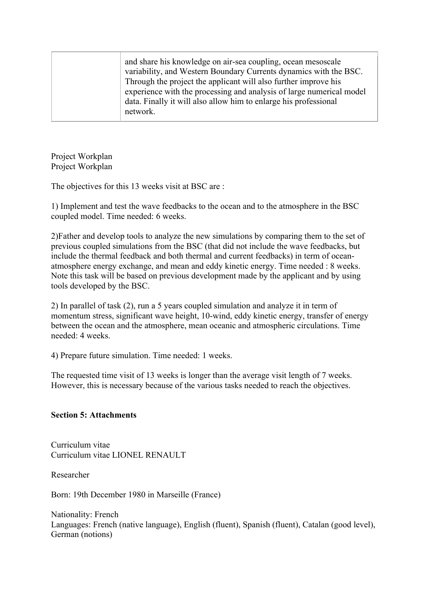Project Workplan Project Workplan

The objectives for this 13 weeks visit at BSC are :

1) Implement and test the wave feedbacks to the ocean and to the atmosphere in the BSC coupled model. Time needed: 6 weeks.

2)Father and develop tools to analyze the new simulations by comparing them to the set of previous coupled simulations from the BSC (that did not include the wave feedbacks, but include the thermal feedback and both thermal and current feedbacks) in term of oceanatmosphere energy exchange, and mean and eddy kinetic energy. Time needed : 8 weeks. Note this task will be based on previous development made by the applicant and by using tools developed by the BSC.

2) In parallel of task (2), run a 5 years coupled simulation and analyze it in term of momentum stress, significant wave height, 10-wind, eddy kinetic energy, transfer of energy between the ocean and the atmosphere, mean oceanic and atmospheric circulations. Time needed: 4 weeks.

4) Prepare future simulation. Time needed: 1 weeks.

The requested time visit of 13 weeks is longer than the average visit length of 7 weeks. However, this is necessary because of the various tasks needed to reach the objectives.

## **Section 5: Attachments**

Curriculum vitae Curriculum vitae LIONEL RENAULT

Researcher

Born: 19th December 1980 in Marseille (France)

Nationality: French Languages: French (native language), English (fluent), Spanish (fluent), Catalan (good level), German (notions)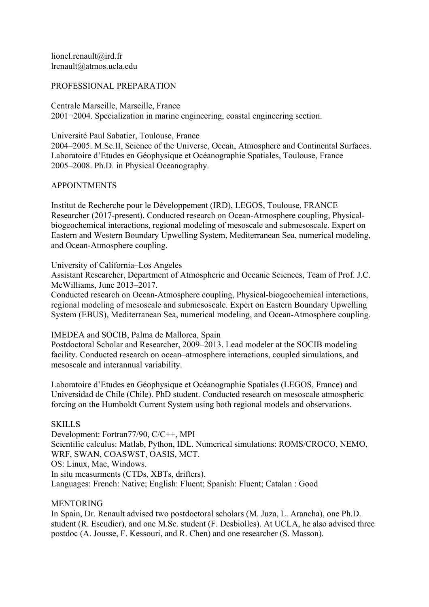lionel.renault@ird.fr lrenault@atmos.ucla.edu

#### PROFESSIONAL PREPARATION

Centrale Marseille, Marseille, France 2001¬2004. Specialization in marine engineering, coastal engineering section.

Université Paul Sabatier, Toulouse, France

2004–2005. M.Sc.II, Science of the Universe, Ocean, Atmosphere and Continental Surfaces. Laboratoire d'Etudes en Géophysique et Océanographie Spatiales, Toulouse, France 2005–2008. Ph.D. in Physical Oceanography.

#### APPOINTMENTS

Institut de Recherche pour le Développement (IRD), LEGOS, Toulouse, FRANCE Researcher (2017-present). Conducted research on Ocean-Atmosphere coupling, Physicalbiogeochemical interactions, regional modeling of mesoscale and submesoscale. Expert on Eastern and Western Boundary Upwelling System, Mediterranean Sea, numerical modeling, and Ocean-Atmosphere coupling.

#### University of California–Los Angeles

Assistant Researcher, Department of Atmospheric and Oceanic Sciences, Team of Prof. J.C. McWilliams, June 2013–2017.

Conducted research on Ocean-Atmosphere coupling, Physical-biogeochemical interactions, regional modeling of mesoscale and submesoscale. Expert on Eastern Boundary Upwelling System (EBUS), Mediterranean Sea, numerical modeling, and Ocean-Atmosphere coupling.

#### IMEDEA and SOCIB, Palma de Mallorca, Spain

Postdoctoral Scholar and Researcher, 2009–2013. Lead modeler at the SOCIB modeling facility. Conducted research on ocean–atmosphere interactions, coupled simulations, and mesoscale and interannual variability.

Laboratoire d'Etudes en Géophysique et Océanographie Spatiales (LEGOS, France) and Universidad de Chile (Chile). PhD student. Conducted research on mesoscale atmospheric forcing on the Humboldt Current System using both regional models and observations.

#### **SKILLS**

Development: Fortran77/90, C/C++, MPI Scientific calculus: Matlab, Python, IDL. Numerical simulations: ROMS/CROCO, NEMO, WRF, SWAN, COASWST, OASIS, MCT. OS: Linux, Mac, Windows. In situ measurments (CTDs, XBTs, drifters). Languages: French: Native; English: Fluent; Spanish: Fluent; Catalan : Good

#### MENTORING

In Spain, Dr. Renault advised two postdoctoral scholars (M. Juza, L. Arancha), one Ph.D. student (R. Escudier), and one M.Sc. student (F. Desbiolles). At UCLA, he also advised three postdoc (A. Jousse, F. Kessouri, and R. Chen) and one researcher (S. Masson).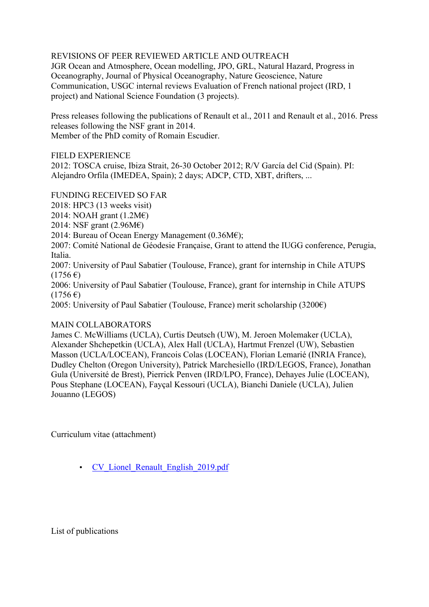# REVISIONS OF PEER REVIEWED ARTICLE AND OUTREACH

JGR Ocean and Atmosphere, Ocean modelling, JPO, GRL, Natural Hazard, Progress in Oceanography, Journal of Physical Oceanography, Nature Geoscience, Nature Communication, USGC internal reviews Evaluation of French national project (IRD, 1 project) and National Science Foundation (3 projects).

Press releases following the publications of Renault et al., 2011 and Renault et al., 2016. Press releases following the NSF grant in 2014. Member of the PhD comity of Romain Escudier.

FIELD EXPERIENCE

2012: TOSCA cruise, Ibiza Strait, 26-30 October 2012; R/V García del Cid (Spain). PI: Alejandro Orfila (IMEDEA, Spain); 2 days; ADCP, CTD, XBT, drifters, ...

## FUNDING RECEIVED SO FAR

2018: HPC3 (13 weeks visit)

2014: NOAH grant  $(1.2M\epsilon)$ 

2014: NSF grant (2.96M€)

2014: Bureau of Ocean Energy Management (0.36M€);

2007: Comité National de Géodesie Française, Grant to attend the IUGG conference, Perugia, Italia.

2007: University of Paul Sabatier (Toulouse, France), grant for internship in Chile ATUPS  $(1756 \text{ } \epsilon)$ 

2006: University of Paul Sabatier (Toulouse, France), grant for internship in Chile ATUPS  $(1756 \,\epsilon)$ 

2005: University of Paul Sabatier (Toulouse, France) merit scholarship  $(3200\epsilon)$ 

## MAIN COLLABORATORS

James C. McWilliams (UCLA), Curtis Deutsch (UW), M. Jeroen Molemaker (UCLA), Alexander Shchepetkin (UCLA), Alex Hall (UCLA), Hartmut Frenzel (UW), Sebastien Masson (UCLA/LOCEAN), Francois Colas (LOCEAN), Florian Lemarié (INRIA France), Dudley Chelton (Oregon University), Patrick Marchesiello (IRD/LEGOS, France), Jonathan Gula (Université de Brest), Pierrick Penven (IRD/LPO, France), Dehayes Julie (LOCEAN), Pous Stephane (LOCEAN), Fayçal Kessouri (UCLA), Bianchi Daniele (UCLA), Julien Jouanno (LEGOS)

Curriculum vitae (attachment)

• CV Lionel Renault English 2019.pdf

List of publications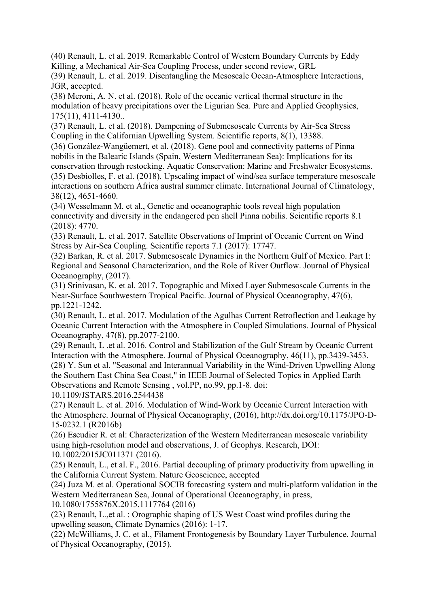(40) Renault, L. et al. 2019. Remarkable Control of Western Boundary Currents by Eddy Killing, a Mechanical Air-Sea Coupling Process, under second review, GRL

(39) Renault, L. et al. 2019. Disentangling the Mesoscale Ocean-Atmosphere Interactions, JGR, accepted.

(38) Meroni, A. N. et al. (2018). Role of the oceanic vertical thermal structure in the modulation of heavy precipitations over the Ligurian Sea. Pure and Applied Geophysics, 175(11), 4111-4130..

(37) Renault, L. et al. (2018). Dampening of Submesoscale Currents by Air-Sea Stress Coupling in the Californian Upwelling System. Scientific reports, 8(1), 13388.

(36) González-Wangüemert, et al. (2018). Gene pool and connectivity patterns of Pinna nobilis in the Balearic Islands (Spain, Western Mediterranean Sea): Implications for its conservation through restocking. Aquatic Conservation: Marine and Freshwater Ecosystems. (35) Desbiolles, F. et al. (2018). Upscaling impact of wind/sea surface temperature mesoscale interactions on southern Africa austral summer climate. International Journal of Climatology, 38(12), 4651-4660.

(34) Wesselmann M. et al., Genetic and oceanographic tools reveal high population connectivity and diversity in the endangered pen shell Pinna nobilis. Scientific reports 8.1 (2018): 4770.

(33) Renault, L. et al. 2017. Satellite Observations of Imprint of Oceanic Current on Wind Stress by Air-Sea Coupling. Scientific reports 7.1 (2017): 17747.

(32) Barkan, R. et al. 2017. Submesoscale Dynamics in the Northern Gulf of Mexico. Part I: Regional and Seasonal Characterization, and the Role of River Outflow. Journal of Physical Oceanography, (2017).

(31) Srinivasan, K. et al. 2017. Topographic and Mixed Layer Submesoscale Currents in the Near-Surface Southwestern Tropical Pacific. Journal of Physical Oceanography, 47(6), pp.1221-1242.

(30) Renault, L. et al. 2017. Modulation of the Agulhas Current Retroflection and Leakage by Oceanic Current Interaction with the Atmosphere in Coupled Simulations. Journal of Physical Oceanography, 47(8), pp.2077-2100.

(29) Renault, L .et al. 2016. Control and Stabilization of the Gulf Stream by Oceanic Current Interaction with the Atmosphere. Journal of Physical Oceanography, 46(11), pp.3439-3453. (28) Y. Sun et al. "Seasonal and Interannual Variability in the Wind-Driven Upwelling Along the Southern East China Sea Coast," in IEEE Journal of Selected Topics in Applied Earth Observations and Remote Sensing , vol.PP, no.99, pp.1-8. doi:

10.1109/JSTARS.2016.2544438

(27) Renault L. et al. 2016. Modulation of Wind-Work by Oceanic Current Interaction with the Atmosphere. Journal of Physical Oceanography, (2016), http://dx.doi.org/10.1175/JPO-D-15-0232.1 (R2016b)

(26) Escudier R. et al: Characterization of the Western Mediterranean mesoscale variability using high-resolution model and observations, J. of Geophys. Research, DOI: 10.1002/2015JC011371 (2016).

(25) Renault, L., et al. F., 2016. Partial decoupling of primary productivity from upwelling in the California Current System. Nature Geoscience, accepted

(24) Juza M. et al. Operational SOCIB forecasting system and multi-platform validation in the Western Mediterranean Sea, Jounal of Operational Oceanography, in press,

10.1080/1755876X.2015.1117764 (2016)

(23) Renault, L.,et al. : Orographic shaping of US West Coast wind profiles during the upwelling season, Climate Dynamics (2016): 1-17.

(22) McWilliams, J. C. et al., Filament Frontogenesis by Boundary Layer Turbulence. Journal of Physical Oceanography, (2015).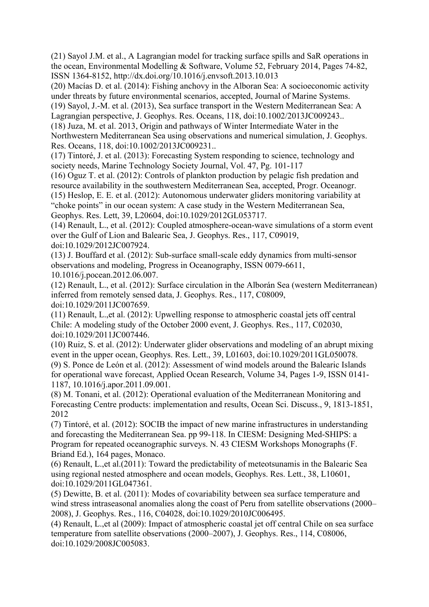(21) Sayol J.M. et al., A Lagrangian model for tracking surface spills and SaR operations in the ocean, Environmental Modelling & Software, Volume 52, February 2014, Pages 74-82, ISSN 1364-8152, http://dx.doi.org/10.1016/j.envsoft.2013.10.013

(20) Macías D. et al. (2014): Fishing anchovy in the Alboran Sea: A socioeconomic activity under threats by future environmental scenarios, accepted, Journal of Marine Systems.

(19) Sayol, J.-M. et al. (2013), Sea surface transport in the Western Mediterranean Sea: A Lagrangian perspective, J. Geophys. Res. Oceans, 118, doi:10.1002/2013JC009243..

(18) Juza, M. et al. 2013, Origin and pathways of Winter Intermediate Water in the

Northwestern Mediterranean Sea using observations and numerical simulation, J. Geophys. Res. Oceans, 118, doi:10.1002/2013JC009231..

(17) Tintoré, J. et al. (2013): Forecasting System responding to science, technology and society needs, Marine Technology Society Journal, Vol. 47, Pg. 101-117

(16) Oguz T. et al. (2012): Controls of plankton production by pelagic fish predation and resource availability in the southwestern Mediterranean Sea, accepted, Progr. Oceanogr.

(15) Heslop, E. E. et al. (2012): Autonomous underwater gliders monitoring variability at "choke points" in our ocean system: A case study in the Western Mediterranean Sea, Geophys. Res. Lett, 39, L20604, doi:10.1029/2012GL053717.

(14) Renault, L., et al. (2012): Coupled atmosphere-ocean-wave simulations of a storm event over the Gulf of Lion and Balearic Sea, J. Geophys. Res., 117, C09019, doi:10.1029/2012JC007924.

(13) J. Bouffard et al. (2012): Sub-surface small-scale eddy dynamics from multi-sensor observations and modeling, Progress in Oceanography, ISSN 0079-6611, 10.1016/j.pocean.2012.06.007.

(12) Renault, L., et al. (2012): Surface circulation in the Alborán Sea (western Mediterranean) inferred from remotely sensed data, J. Geophys. Res., 117, C08009, doi:10.1029/2011JC007659.

(11) Renault, L.,et al. (2012): Upwelling response to atmospheric coastal jets off central Chile: A modeling study of the October 2000 event, J. Geophys. Res., 117, C02030, doi:10.1029/2011JC007446.

(10) Ruiz, S. et al. (2012): Underwater glider observations and modeling of an abrupt mixing event in the upper ocean, Geophys. Res. Lett., 39, L01603, doi:10.1029/2011GL050078. (9) S. Ponce de León et al. (2012): Assessment of wind models around the Balearic Islands for operational wave forecast, Applied Ocean Research, Volume 34, Pages 1-9, ISSN 0141- 1187, 10.1016/j.apor.2011.09.001.

(8) M. Tonani, et al. (2012): Operational evaluation of the Mediterranean Monitoring and Forecasting Centre products: implementation and results, Ocean Sci. Discuss., 9, 1813-1851, 2012

(7) Tintoré, et al. (2012): SOCIB the impact of new marine infrastructures in understanding and forecasting the Mediterranean Sea. pp 99-118. In CIESM: Designing Med-SHIPS: a Program for repeated oceanographic surveys. N. 43 CIESM Workshops Monographs (F. Briand Ed.), 164 pages, Monaco.

(6) Renault, L.,et al.(2011): Toward the predictability of meteotsunamis in the Balearic Sea using regional nested atmosphere and ocean models, Geophys. Res. Lett., 38, L10601, doi:10.1029/2011GL047361.

(5) Dewitte, B. et al. (2011): Modes of covariability between sea surface temperature and wind stress intraseasonal anomalies along the coast of Peru from satellite observations (2000– 2008), J. Geophys. Res., 116, C04028, doi:10.1029/2010JC006495.

(4) Renault, L.,et al (2009): Impact of atmospheric coastal jet off central Chile on sea surface temperature from satellite observations (2000–2007), J. Geophys. Res., 114, C08006, doi:10.1029/2008JC005083.